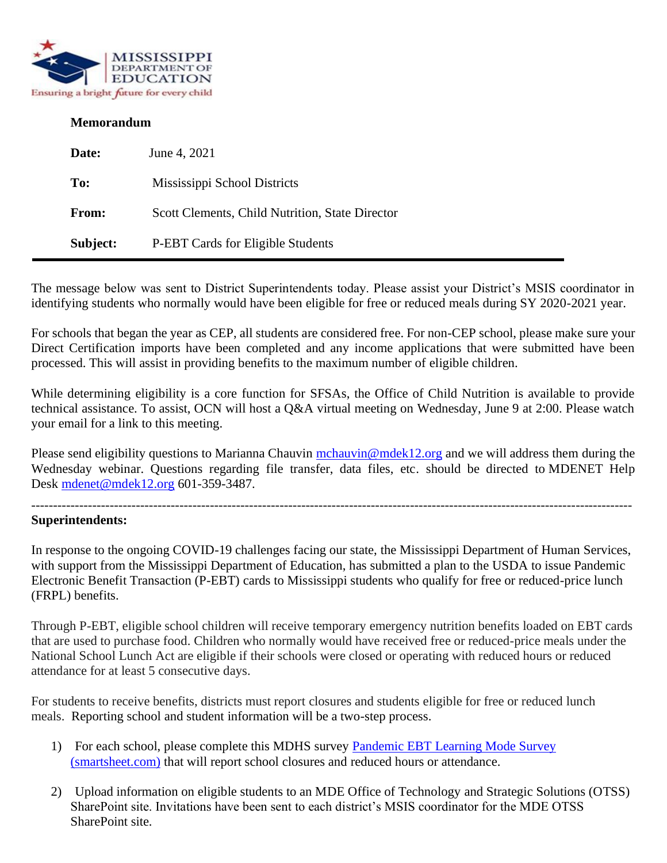

#### **Memorandum**

| Date:        | June 4, 2021                                    |
|--------------|-------------------------------------------------|
| To:          | Mississippi School Districts                    |
| <b>From:</b> | Scott Clements, Child Nutrition, State Director |
| Subject:     | P-EBT Cards for Eligible Students               |

The message below was sent to District Superintendents today. Please assist your District's MSIS coordinator in identifying students who normally would have been eligible for free or reduced meals during SY 2020-2021 year.

For schools that began the year as CEP, all students are considered free. For non-CEP school, please make sure your Direct Certification imports have been completed and any income applications that were submitted have been processed. This will assist in providing benefits to the maximum number of eligible children.

While determining eligibility is a core function for SFSAs, the Office of Child Nutrition is available to provide technical assistance. To assist, OCN will host a Q&A virtual meeting on Wednesday, June 9 at 2:00. Please watch your email for a link to this meeting.

Please send eligibility questions to Marianna Chauvin [mchauvin@mdek12.org](mailto:mchauvin@mdek12.org) and we will address them during the Wednesday webinar. Questions regarding file transfer, data files, etc. should be directed to MDENET Help Desk [mdenet@mdek12.org](mailto:mdenet@mdek12.org) 601-359-3487.

------------------------------------------------------------------------------------------------------------------------------------------

#### **Superintendents:**

In response to the ongoing COVID-19 challenges facing our state, the Mississippi Department of Human Services, with support from the Mississippi Department of Education, has submitted a plan to the USDA to issue Pandemic Electronic Benefit Transaction (P-EBT) cards to Mississippi students who qualify for free or reduced-price lunch (FRPL) benefits.

Through P-EBT, eligible school children will receive temporary emergency nutrition benefits loaded on EBT cards that are used to purchase food. Children who normally would have received free or reduced-price meals under the National School Lunch Act are eligible if their schools were closed or operating with reduced hours or reduced attendance for at least 5 consecutive days.

For students to receive benefits, districts must report closures and students eligible for free or reduced lunch meals. Reporting school and student information will be a two-step process.

- 1) For each school, please complete this MDHS survey [Pandemic EBT Learning Mode Survey](https://app.smartsheet.com/b/form/461306cfb24f4a76bb43cb2ec812ea7a)  [\(smartsheet.com\)](https://app.smartsheet.com/b/form/461306cfb24f4a76bb43cb2ec812ea7a) that will report school closures and reduced hours or attendance.
- 2) Upload information on eligible students to an MDE Office of Technology and Strategic Solutions (OTSS) SharePoint site. Invitations have been sent to each district's MSIS coordinator for the MDE OTSS SharePoint site.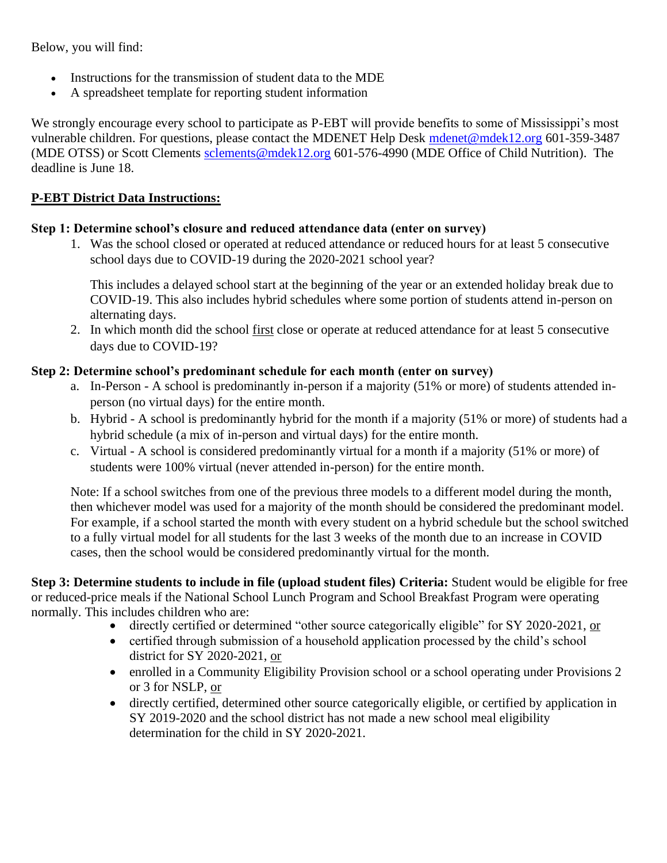Below, you will find:

- Instructions for the transmission of student data to the MDE
- A spreadsheet template for reporting student information

We strongly encourage every school to participate as P-EBT will provide benefits to some of Mississippi's most vulnerable children. For questions, please contact the MDENET Help Desk [mdenet@mdek12.org](mailto:mdenet@mdek12.org) 601-359-3487 (MDE OTSS) or Scott Clements [sclements@mdek12.org](mailto:sclements@mdek12.org) 601-576-4990 (MDE Office of Child Nutrition). The deadline is June 18.

## **P-EBT District Data Instructions:**

# **Step 1: Determine school's closure and reduced attendance data (enter on survey)**

1. Was the school closed or operated at reduced attendance or reduced hours for at least 5 consecutive school days due to COVID-19 during the 2020-2021 school year?

This includes a delayed school start at the beginning of the year or an extended holiday break due to COVID-19. This also includes hybrid schedules where some portion of students attend in-person on alternating days.

2. In which month did the school first close or operate at reduced attendance for at least 5 consecutive days due to COVID-19?

### **Step 2: Determine school's predominant schedule for each month (enter on survey)**

- a. In-Person A school is predominantly in-person if a majority (51% or more) of students attended inperson (no virtual days) for the entire month.
- b. Hybrid A school is predominantly hybrid for the month if a majority (51% or more) of students had a hybrid schedule (a mix of in-person and virtual days) for the entire month.
- c. Virtual A school is considered predominantly virtual for a month if a majority (51% or more) of students were 100% virtual (never attended in-person) for the entire month.

Note: If a school switches from one of the previous three models to a different model during the month, then whichever model was used for a majority of the month should be considered the predominant model. For example, if a school started the month with every student on a hybrid schedule but the school switched to a fully virtual model for all students for the last 3 weeks of the month due to an increase in COVID cases, then the school would be considered predominantly virtual for the month.

**Step 3: Determine students to include in file (upload student files) Criteria:** Student would be eligible for free or reduced-price meals if the National School Lunch Program and School Breakfast Program were operating normally. This includes children who are:

- directly certified or determined "other source categorically eligible" for SY 2020-2021, or
- certified through submission of a household application processed by the child's school district for SY 2020-2021, or
- enrolled in a Community Eligibility Provision school or a school operating under Provisions 2 or 3 for NSLP, or
- directly certified, determined other source categorically eligible, or certified by application in SY 2019-2020 and the school district has not made a new school meal eligibility determination for the child in SY 2020-2021.